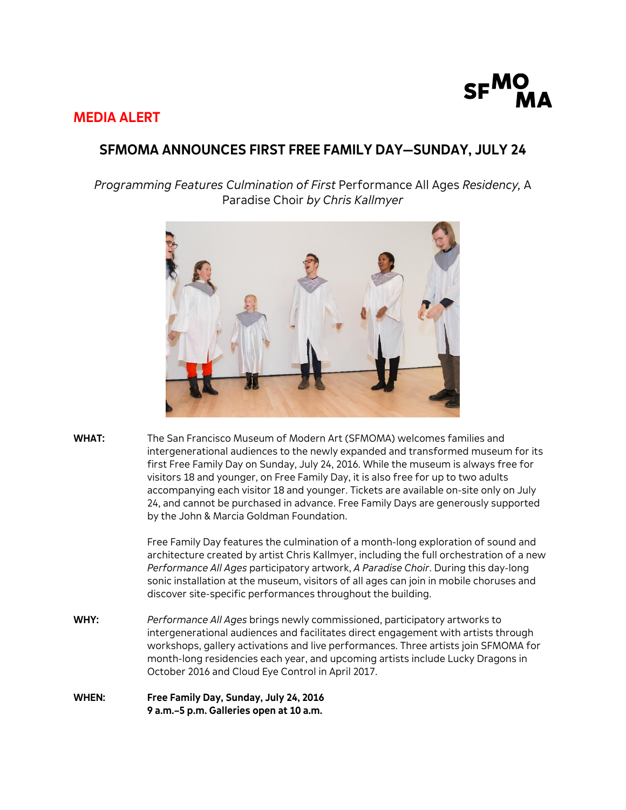

## **MEDIA ALERT**

# **SFMOMA ANNOUNCES FIRST FREE FAMILY DAY—SUNDAY, JULY 24**

*Programming Features Culmination of First* Performance All Ages *Residency,* A Paradise Choir *by Chris Kallmyer*



**WHAT:** The San Francisco Museum of Modern Art (SFMOMA) welcomes families and intergenerational audiences to the newly expanded and transformed museum for its first Free Family Day on Sunday, July 24, 2016. While the museum is always free for visitors 18 and younger, on Free Family Day, it is also free for up to two adults accompanying each visitor 18 and younger. Tickets are available on-site only on July 24, and cannot be purchased in advance. Free Family Days are generously supported by the John & Marcia Goldman Foundation.

> Free Family Day features the culmination of a month-long exploration of sound and architecture created by artist Chris Kallmyer, including the full orchestration of a new *Performance All Ages* participatory artwork, *A Paradise Choir*. During this day-long sonic installation at the museum, visitors of all ages can join in mobile choruses and discover site-specific performances throughout the building.

- **WHY:** *Performance All Ages* brings newly commissioned, participatory artworks to intergenerational audiences and facilitates direct engagement with artists through workshops, gallery activations and live performances. Three artists join SFMOMA for month-long residencies each year, and upcoming artists include Lucky Dragons in October 2016 and Cloud Eye Control in April 2017.
- **WHEN: Free Family Day, Sunday, July 24, 2016 9 a.m.–5 p.m. Galleries open at 10 a.m.**